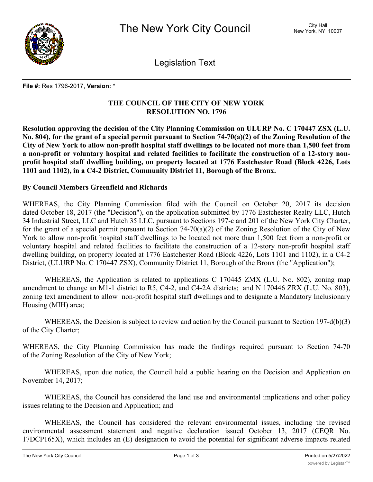

Legislation Text

## **File #:** Res 1796-2017, **Version:** \*

## **THE COUNCIL OF THE CITY OF NEW YORK RESOLUTION NO. 1796**

**Resolution approving the decision of the City Planning Commission on ULURP No. C 170447 ZSX (L.U.** No. 804), for the grant of a special permit pursuant to Section  $74-70(a)(2)$  of the Zoning Resolution of the City of New York to allow non-profit hospital staff dwellings to be located not more than 1,500 feet from **a non-profit or voluntary hospital and related facilities to facilitate the construction of a 12-story nonprofit hospital staff dwelling building, on property located at 1776 Eastchester Road (Block 4226, Lots 1101 and 1102), in a C4-2 District, Community District 11, Borough of the Bronx.**

## **By Council Members Greenfield and Richards**

WHEREAS, the City Planning Commission filed with the Council on October 20, 2017 its decision dated October 18, 2017 (the "Decision"), on the application submitted by 1776 Eastchester Realty LLC, Hutch 34 Industrial Street, LLC and Hutch 35 LLC, pursuant to Sections 197-c and 201 of the New York City Charter, for the grant of a special permit pursuant to Section 74-70(a)(2) of the Zoning Resolution of the City of New York to allow non-profit hospital staff dwellings to be located not more than 1,500 feet from a non-profit or voluntary hospital and related facilities to facilitate the construction of a 12-story non-profit hospital staff dwelling building, on property located at 1776 Eastchester Road (Block 4226, Lots 1101 and 1102), in a C4-2 District, (ULURP No. C 170447 ZSX), Community District 11, Borough of the Bronx (the "Application");

WHEREAS, the Application is related to applications C 170445 ZMX (L.U. No. 802), zoning map amendment to change an M1-1 district to R5, C4-2, and C4-2A districts; and N 170446 ZRX (L.U. No. 803), zoning text amendment to allow non-profit hospital staff dwellings and to designate a Mandatory Inclusionary Housing (MIH) area;

WHEREAS, the Decision is subject to review and action by the Council pursuant to Section 197-d(b)(3) of the City Charter;

WHEREAS, the City Planning Commission has made the findings required pursuant to Section 74-70 of the Zoning Resolution of the City of New York;

WHEREAS, upon due notice, the Council held a public hearing on the Decision and Application on November 14, 2017;

WHEREAS, the Council has considered the land use and environmental implications and other policy issues relating to the Decision and Application; and

WHEREAS, the Council has considered the relevant environmental issues, including the revised environmental assessment statement and negative declaration issued October 13, 2017 (CEQR No. 17DCP165X), which includes an (E) designation to avoid the potential for significant adverse impacts related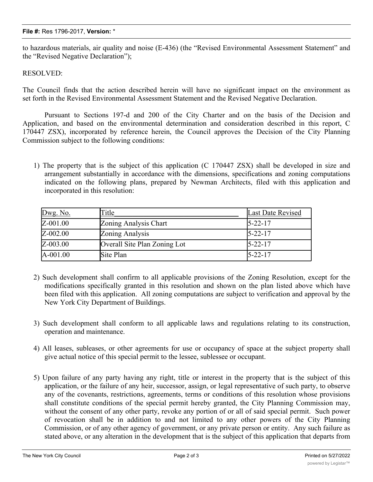to hazardous materials, air quality and noise (E-436) (the "Revised Environmental Assessment Statement" and the "Revised Negative Declaration");

RESOLVED:

The Council finds that the action described herein will have no significant impact on the environment as set forth in the Revised Environmental Assessment Statement and the Revised Negative Declaration.

Pursuant to Sections 197-d and 200 of the City Charter and on the basis of the Decision and Application, and based on the environmental determination and consideration described in this report, C 170447 ZSX), incorporated by reference herein, the Council approves the Decision of the City Planning Commission subject to the following conditions:

1) The property that is the subject of this application (C 170447 ZSX) shall be developed in size and arrangement substantially in accordance with the dimensions, specifications and zoning computations indicated on the following plans, prepared by Newman Architects, filed with this application and incorporated in this resolution:

| Dwg. No. | <b>Title</b>                 | Last Date Revised |
|----------|------------------------------|-------------------|
| Z-001.00 | Zoning Analysis Chart        | $5 - 22 - 17$     |
| Z-002.00 | Zoning Analysis              | $5 - 22 - 17$     |
| Z-003.00 | Overall Site Plan Zoning Lot | $5 - 22 - 17$     |
| A-001.00 | Site Plan                    | $5 - 22 - 17$     |

- 2) Such development shall confirm to all applicable provisions of the Zoning Resolution, except for the modifications specifically granted in this resolution and shown on the plan listed above which have been filed with this application. All zoning computations are subject to verification and approval by the New York City Department of Buildings.
- 3) Such development shall conform to all applicable laws and regulations relating to its construction, operation and maintenance.
- 4) All leases, subleases, or other agreements for use or occupancy of space at the subject property shall give actual notice of this special permit to the lessee, sublessee or occupant.
- 5) Upon failure of any party having any right, title or interest in the property that is the subject of this application, or the failure of any heir, successor, assign, or legal representative of such party, to observe any of the covenants, restrictions, agreements, terms or conditions of this resolution whose provisions shall constitute conditions of the special permit hereby granted, the City Planning Commission may, without the consent of any other party, revoke any portion of or all of said special permit. Such power of revocation shall be in addition to and not limited to any other powers of the City Planning Commission, or of any other agency of government, or any private person or entity. Any such failure as stated above, or any alteration in the development that is the subject of this application that departs from